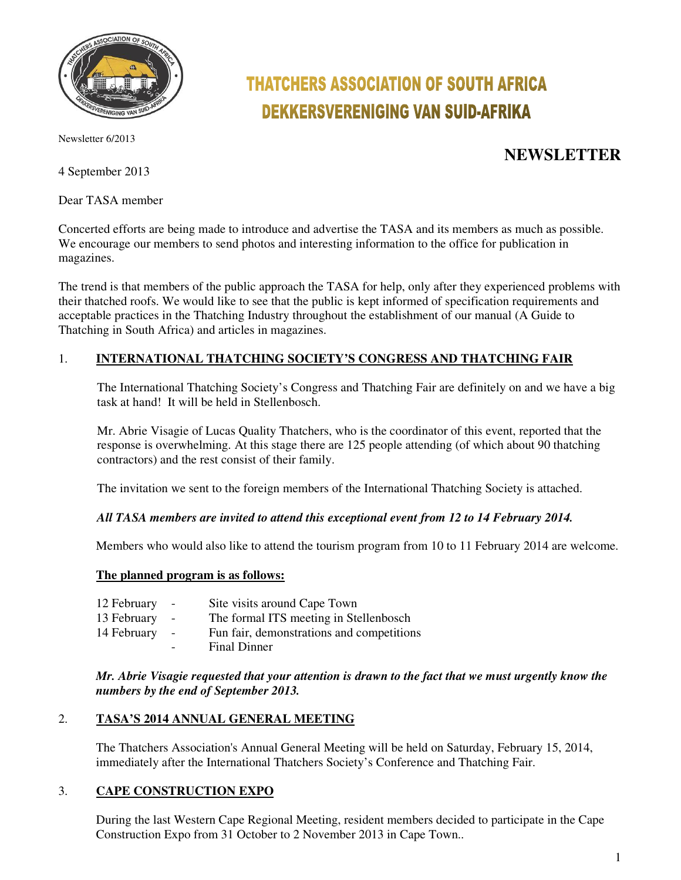

Newsletter 6/2013

4 September 2013

Dear TASA member

# **THATCHERS ASSOCIATION OF SOUTH AFRICA DEKKERSVERENIGING VAN SUID-AFRIKA**

# **NEWSLETTER**

Concerted efforts are being made to introduce and advertise the TASA and its members as much as possible. We encourage our members to send photos and interesting information to the office for publication in magazines.

The trend is that members of the public approach the TASA for help, only after they experienced problems with their thatched roofs. We would like to see that the public is kept informed of specification requirements and acceptable practices in the Thatching Industry throughout the establishment of our manual (A Guide to Thatching in South Africa) and articles in magazines.

# 1. **INTERNATIONAL THATCHING SOCIETY'S CONGRESS AND THATCHING FAIR**

The International Thatching Society's Congress and Thatching Fair are definitely on and we have a big task at hand! It will be held in Stellenbosch.

Mr. Abrie Visagie of Lucas Quality Thatchers, who is the coordinator of this event, reported that the response is overwhelming. At this stage there are 125 people attending (of which about 90 thatching contractors) and the rest consist of their family.

The invitation we sent to the foreign members of the International Thatching Society is attached.

# *All TASA members are invited to attend this exceptional event from 12 to 14 February 2014.*

Members who would also like to attend the tourism program from 10 to 11 February 2014 are welcome.

#### **The planned program is as follows:**

- 12 February Site visits around Cape Town
- 13 February The formal ITS meeting in Stellenbosch
- 14 February Fun fair, demonstrations and competitions
	- Final Dinner

*Mr. Abrie Visagie requested that your attention is drawn to the fact that we must urgently know the numbers by the end of September 2013.* 

# 2. **TASA'S 2014 ANNUAL GENERAL MEETING**

The Thatchers Association's Annual General Meeting will be held on Saturday, February 15, 2014, immediately after the International Thatchers Society's Conference and Thatching Fair.

# 3. **CAPE CONSTRUCTION EXPO**

During the last Western Cape Regional Meeting, resident members decided to participate in the Cape Construction Expo from 31 October to 2 November 2013 in Cape Town..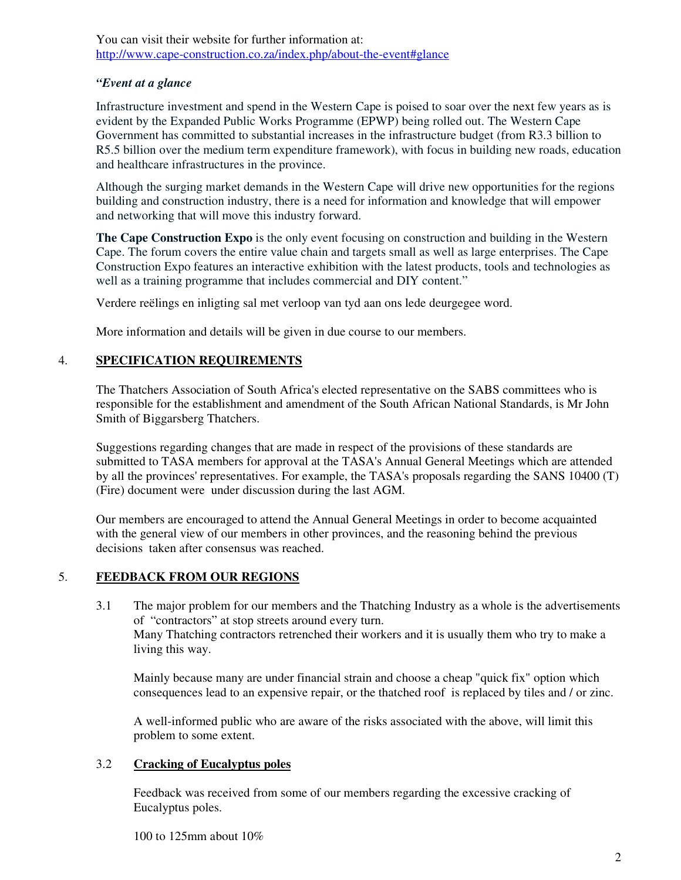You can visit their website for further information at: http://www.cape-construction.co.za/index.php/about-the-event#glance

#### *"Event at a glance*

Infrastructure investment and spend in the Western Cape is poised to soar over the next few years as is evident by the Expanded Public Works Programme (EPWP) being rolled out. The Western Cape Government has committed to substantial increases in the infrastructure budget (from R3.3 billion to R5.5 billion over the medium term expenditure framework), with focus in building new roads, education and healthcare infrastructures in the province.

Although the surging market demands in the Western Cape will drive new opportunities for the regions building and construction industry, there is a need for information and knowledge that will empower and networking that will move this industry forward.

**The Cape Construction Expo** is the only event focusing on construction and building in the Western Cape. The forum covers the entire value chain and targets small as well as large enterprises. The Cape Construction Expo features an interactive exhibition with the latest products, tools and technologies as well as a training programme that includes commercial and DIY content."

Verdere reëlings en inligting sal met verloop van tyd aan ons lede deurgegee word.

More information and details will be given in due course to our members.

# 4. **SPECIFICATION REQUIREMENTS**

The Thatchers Association of South Africa's elected representative on the SABS committees who is responsible for the establishment and amendment of the South African National Standards, is Mr John Smith of Biggarsberg Thatchers.

Suggestions regarding changes that are made in respect of the provisions of these standards are submitted to TASA members for approval at the TASA's Annual General Meetings which are attended by all the provinces' representatives. For example, the TASA's proposals regarding the SANS 10400 (T) (Fire) document were under discussion during the last AGM.

Our members are encouraged to attend the Annual General Meetings in order to become acquainted with the general view of our members in other provinces, and the reasoning behind the previous decisions taken after consensus was reached.

# 5. **FEEDBACK FROM OUR REGIONS**

3.1 The major problem for our members and the Thatching Industry as a whole is the advertisements of "contractors" at stop streets around every turn. Many Thatching contractors retrenched their workers and it is usually them who try to make a living this way.

Mainly because many are under financial strain and choose a cheap "quick fix" option which consequences lead to an expensive repair, or the thatched roof is replaced by tiles and / or zinc.

A well-informed public who are aware of the risks associated with the above, will limit this problem to some extent.

# 3.2 **Cracking of Eucalyptus poles**

Feedback was received from some of our members regarding the excessive cracking of Eucalyptus poles.

100 to 125mm about 10%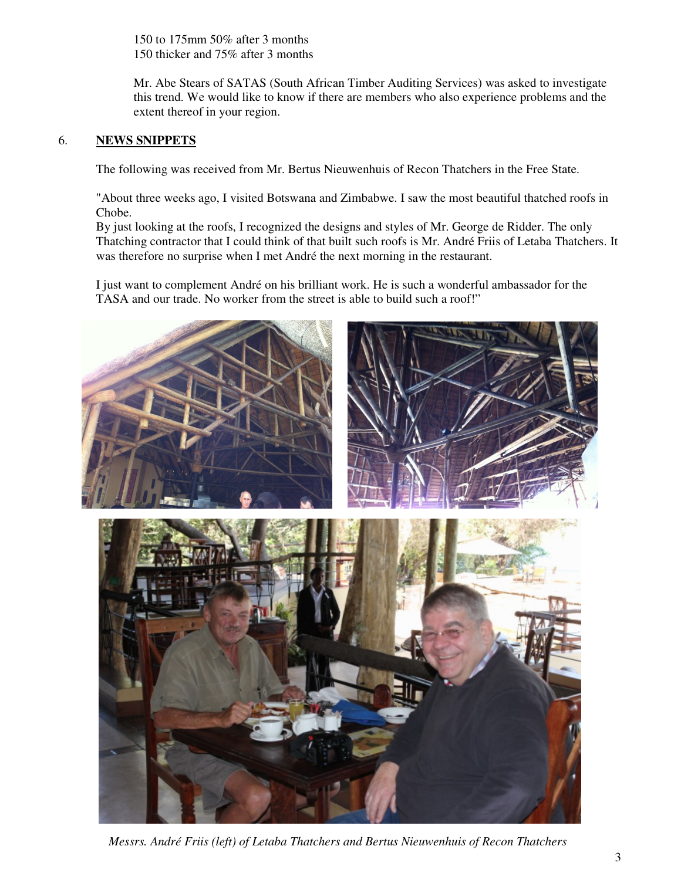150 to 175mm 50% after 3 months 150 thicker and 75% after 3 months

Mr. Abe Stears of SATAS (South African Timber Auditing Services) was asked to investigate this trend. We would like to know if there are members who also experience problems and the extent thereof in your region.

# 6. **NEWS SNIPPETS**

The following was received from Mr. Bertus Nieuwenhuis of Recon Thatchers in the Free State.

"About three weeks ago, I visited Botswana and Zimbabwe. I saw the most beautiful thatched roofs in Chobe.

By just looking at the roofs, I recognized the designs and styles of Mr. George de Ridder. The only Thatching contractor that I could think of that built such roofs is Mr. André Friis of Letaba Thatchers. It was therefore no surprise when I met André the next morning in the restaurant.

I just want to complement André on his brilliant work. He is such a wonderful ambassador for the TASA and our trade. No worker from the street is able to build such a roof!"



 *Messrs. André Friis (left) of Letaba Thatchers and Bertus Nieuwenhuis of Recon Thatchers*